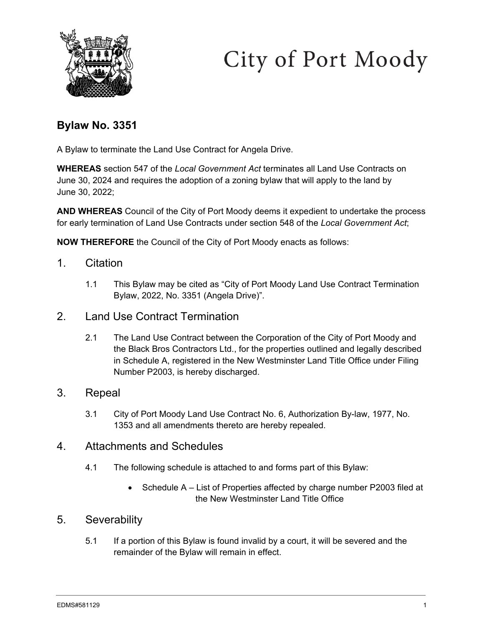



# **Bylaw No. 3351**

A Bylaw to terminate the Land Use Contract for Angela Drive.

**WHEREAS** section 547 of the *Local Government Act* terminates all Land Use Contracts on June 30, 2024 and requires the adoption of a zoning bylaw that will apply to the land by June 30, 2022;

**AND WHEREAS** Council of the City of Port Moody deems it expedient to undertake the process for early termination of Land Use Contracts under section 548 of the *Local Government Act*;

**NOW THEREFORE** the Council of the City of Port Moody enacts as follows:

- 1. Citation
	- 1.1 This Bylaw may be cited as "City of Port Moody Land Use Contract Termination Bylaw, 2022, No. 3351 (Angela Drive)".
- 2. Land Use Contract Termination
	- 2.1 The Land Use Contract between the Corporation of the City of Port Moody and the Black Bros Contractors Ltd., for the properties outlined and legally described in Schedule A, registered in the New Westminster Land Title Office under Filing Number P2003, is hereby discharged.

#### 3. Repeal

- 3.1 City of Port Moody Land Use Contract No. 6, Authorization By-law, 1977, No. 1353 and all amendments thereto are hereby repealed.
- 4. Attachments and Schedules
	- 4.1 The following schedule is attached to and forms part of this Bylaw:
		- Schedule A List of Properties affected by charge number P2003 filed at the New Westminster Land Title Office

#### 5. Severability

5.1 If a portion of this Bylaw is found invalid by a court, it will be severed and the remainder of the Bylaw will remain in effect.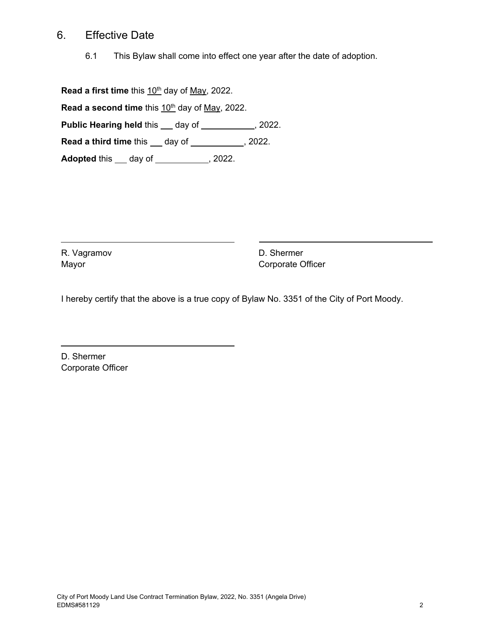### 6. Effective Date

6.1 This Bylaw shall come into effect one year after the date of adoption.

**Read a first time** this 10<sup>th</sup> day of May, 2022.

Read a second time this 10<sup>th</sup> day of May, 2022.

**Public Hearing held this \_\_ day of \_\_\_\_\_\_\_\_\_\_\_, 2022.** 

**Read a third time this \_\_ day of \_\_\_\_\_\_\_\_\_\_, 2022.** 

**Adopted** this <u>day of 3022</u>.

R. Vagramov Mayor

D. Shermer Corporate Officer

I hereby certify that the above is a true copy of Bylaw No. 3351 of the City of Port Moody.

D. Shermer Corporate Officer